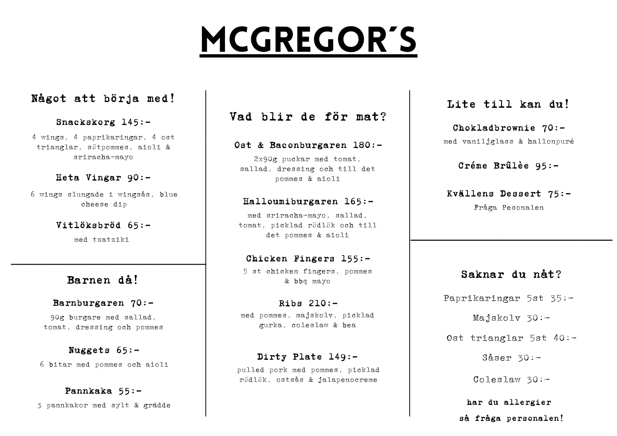# Mcgregor´s

# Något att börja med!

## Snackskorg 145:-

4 wings, 4 paprikaringar, 4 ost trianglar, sötpommes, aioli & sriracha-mayo

## Heta Vingar 90:-

6 wings slungade i wingsås, blue cheese dip

> Vitlöksbröd 65: med tzatziki

# Barnen då!

\_\_\_\_\_\_\_\_\_\_\_\_\_\_\_\_\_\_\_\_\_\_\_\_\_\_\_\_\_\_\_\_\_\_\_\_\_\_\_\_\_\_\_\_\_\_\_\_\_\_

 $\bar{a}_1 = \bar{a}_2 = \bar{a}_3 = \bar{a}_4 = \bar{a}_5 = \bar{a}_6 = \bar{a}_6 = \bar{a}_6 = \bar{a}_6 = \bar{a}_6 = \bar{a}_6 = \bar{a}_6 = \bar{a}_6 = \bar{a}_6 = \bar{a}_6 = \bar{a}_6 = \bar{a}_6 = \bar{a}_6 = \bar{a}_6 = \bar{a}_6 = \bar{a}_6 = \bar{a}_6 = \bar{a}_6 = \bar{a}_6 = \bar{a}_6 = \bar{a}_6 = \bar{a}_6 = \bar{a}_6 = \bar{a}_6 = \bar{a}_6 = \bar{a}_6 = \bar{$ 

## Barnburgaren 70:-

90g burgare med sallad, tomat, dressing och pommes

# Nuggets 65:- 6 bitar med pommes och aioli

Pannkaka 55:- 3 pannkakor med sylt & grädde

# Vad blir de för mat?

## Ost & Baconburgaren 180:-

2x90g puckar med tomat, sallad, dressing och till det pommes & aioli

## Halloumiburgaren 165:-

med sriracha-mayo, sallad, tomat, picklad rödlök och till det pommes & aioli

### Chicken Fingers 155:- 5 st chicken fingers, pommes & bbq mayo

Ribs 210: med pommes, majskolv, picklad gurka, coleslaw & bea

Dirty Plate 149: pulled pork med pommes, picklad rödlök, ostsås & jalapenocreme

# Lite till kan du!

Lite till kan du!<br>
Chokladbrownie 70:-<br>
med vaniljglass & hallonpuré<br>
Créme Brûlèe 95:-<br>
Kvällens Dessert 75:-<br>
Fråga Pesonalen<br>
Saknar du nåt?<br>
Paprikaringar 5st 35:-<br>
Majskolv 30:-<br>
Ost trianglar 5st 40:-<br>
Såser 30:-<br>
Co Chokladbrownie 70: med vaniljglass & hallonpuré

Créme Brûlèe 95:-

Kvällens Dessert 75:- Fråga Pesonalen

# Saknar du nåt?

Paprikaringar 5st 35:-

Majskolv 30:-

Ost trianglar 5st 40:-

Såser 30:-

Coleslaw 30:-

har du allergier så fråga personalen!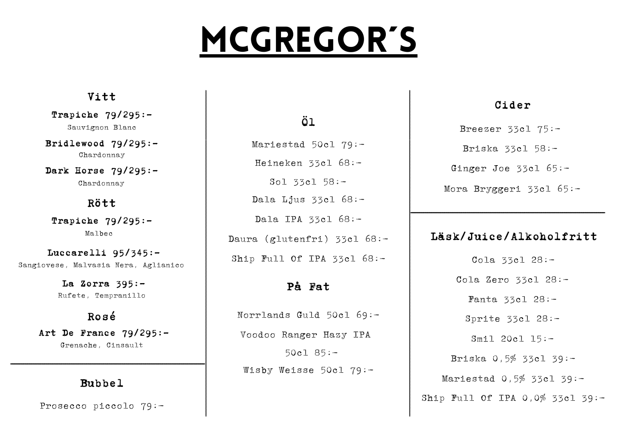# MCGREGOR'S

# Vitt

Trapiche 79/295:- Sauvignon Blanc

Bridlewood 79/295:- Chardonnay

Dark Horse  $79/295:-$ Chardonnay

# Rött

Trapiche 79/295:- Malbec

Luccarelli 95/345:- Sangiovese, Malvasia Nera, Aglianico  $\mathcal{L}_\text{max} = \mathcal{L}_\text{max} = \mathcal{L}_\text{max} = \mathcal{L}_\text{max} = \mathcal{L}_\text{max} = \mathcal{L}_\text{max} = \mathcal{L}_\text{max} = \mathcal{L}_\text{max} = \mathcal{L}_\text{max} = \mathcal{L}_\text{max} = \mathcal{L}_\text{max} = \mathcal{L}_\text{max} = \mathcal{L}_\text{max} = \mathcal{L}_\text{max} = \mathcal{L}_\text{max} = \mathcal{L}_\text{max} = \mathcal{L}_\text{max} = \mathcal{L}_\text{max} = \mathcal{$ 

La Zorra 395:- Rufete, Tempranillo

# Rosé

Art De France  $79/295:-$ Grenache, Cinsault

\_\_\_\_\_\_\_\_\_\_\_\_\_\_\_\_\_\_\_\_\_\_\_\_\_\_\_\_\_\_\_\_\_\_\_\_\_\_\_\_\_\_\_\_\_\_

# Bubbel

Prosecco piccolo 79:-

# Öl

Mariestad 50cl 79:- Heineken 33cl 68:- Sol 33cl 58:- Dala Ljus 33cl  $68:-$ Dala IPA 33cl 68:- Daura (glutenfri) 33cl 68:- Ship Full Of IPA 33cl 68:-

# På Fat

Norrlands Guld 50cl 69:- Voodoo Ranger Hazy IPA 50cl 85:- Wisby Weisse 50cl 79:-

# Cider

Breezer 33cl 75:- Briska 33cl 58:- Ginger Joe 33cl 65:- Mora Bryggeri 33cl 65:-

# Läsk/Juice/Alkoholfritt

\_\_\_\_\_\_\_\_\_\_\_\_\_\_\_\_\_\_\_\_\_\_\_\_\_\_\_\_\_\_\_\_\_\_\_\_\_\_\_\_\_\_\_\_\_\_

 $\mathcal{L}_\text{max} = \mathcal{L}_\text{max} = \mathcal{L}_\text{max} = \mathcal{L}_\text{max} = \mathcal{L}_\text{max} = \mathcal{L}_\text{max} = \mathcal{L}_\text{max} = \mathcal{L}_\text{max} = \mathcal{L}_\text{max} = \mathcal{L}_\text{max} = \mathcal{L}_\text{max} = \mathcal{L}_\text{max} = \mathcal{L}_\text{max} = \mathcal{L}_\text{max} = \mathcal{L}_\text{max} = \mathcal{L}_\text{max} = \mathcal{L}_\text{max} = \mathcal{L}_\text{max} = \mathcal{$ 

Cola 33cl 28:- Cola Zero 33cl 28:- Fanta 33cl 28:- Sprite 33cl 28:- Smil 20cl 15:- Briska 0,5% 33cl 39:- Mariestad 0,5% 33cl 39:-Ship Full Of IPA 0.0% 33cl 39:-